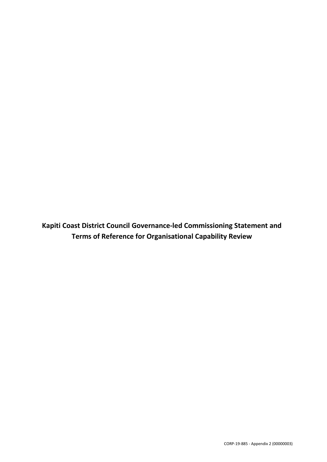**Kapiti Coast District Council Governance-led Commissioning Statement and Terms of Reference for Organisational Capability Review**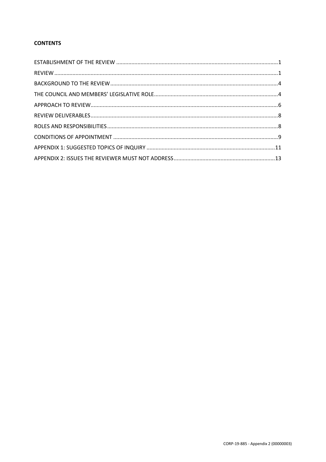## **CONTENTS**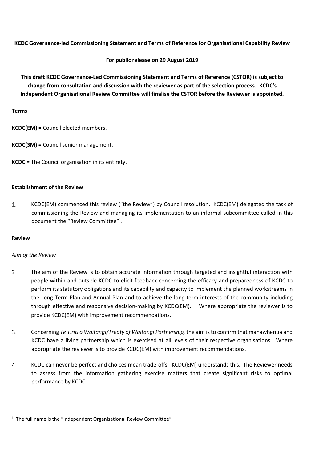**KCDC Governance-led Commissioning Statement and Terms of Reference for Organisational Capability Review** 

**For public release on 29 August 2019**

**This draft KCDC Governance-Led Commissioning Statement and Terms of Reference (CSTOR) is subject to change from consultation and discussion with the reviewer as part of the selection process. KCDC's Independent Organisational Review Committee will finalise the CSTOR before the Reviewer is appointed.** 

## **Terms**

**KCDC(EM) =** Council elected members.

**KCDC(SM) =** Council senior management.

**KCDC =** The Council organisation in its entirety.

## <span id="page-2-0"></span>**Establishment of the Review**

 $1.$ KCDC(EM) commenced this review ("the Review") by Council resolution. KCDC(EM) delegated the task of commissioning the Review and managing its implementation to an informal subcommittee called in this document the "Review Committee"<sup>1</sup>.

## <span id="page-2-1"></span>**Review**

## *Aim of the Review*

- 2. The aim of the Review is to obtain accurate information through targeted and insightful interaction with people within and outside KCDC to elicit feedback concerning the efficacy and preparedness of KCDC to perform its statutory obligations and its capability and capacity to implement the planned workstreams in the Long Term Plan and Annual Plan and to achieve the long term interests of the community including through effective and responsive decision-making by KCDC(EM). Where appropriate the reviewer is to provide KCDC(EM) with improvement recommendations.
- 3. Concerning *Te Tiriti o Waitangi/Treaty of Waitangi Partnership,* the aim is to confirm that manawhenua and KCDC have a living partnership which is exercised at all levels of their respective organisations*.* Where appropriate the reviewer is to provide KCDC(EM) with improvement recommendations.
- KCDC can never be perfect and choices mean trade-offs. KCDC(EM) understands this. The Reviewer needs  $\mathbf{4}$ . to assess from the information gathering exercise matters that create significant risks to optimal performance by KCDC.

<sup>1</sup> <sup>1</sup> The full name is the "Independent Organisational Review Committee".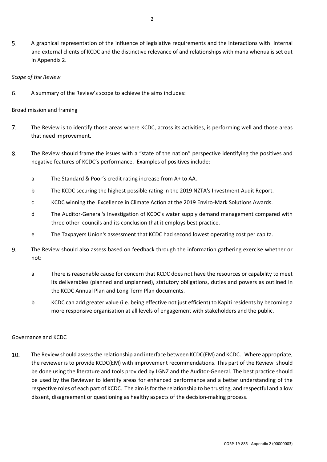5. A graphical representation of the influence of legislative requirements and the interactions with internal and external clients of KCDC and the distinctive relevance of and relationships with mana whenua is set out in Appendix 2.

### *Scope of the Review*

6. A summary of the Review's scope to achieve the aims includes:

## Broad mission and framing

- $\overline{7}$ . The Review is to identify those areas where KCDC, across its activities, is performing well and those areas that need improvement.
- 8. The Review should frame the issues with a "state of the nation" perspective identifying the positives and negative features of KCDC's performance. Examples of positives include:
	- a The Standard & Poor's credit rating increase from A+ to AA.
	- b The KCDC securing the highest possible rating in the 2019 NZTA's Investment Audit Report.
	- c KCDC winning the Excellence in Climate Action at the 2019 Enviro-Mark Solutions Awards.
	- d The Auditor-General's Investigation of KCDC's water supply demand management compared with three other councils and its conclusion that it employs best practice.
	- e The Taxpayers Union's assessment that KCDC had second lowest operating cost per capita.
- 9. The Review should also assess based on feedback through the information gathering exercise whether or not:
	- a There is reasonable cause for concern that KCDC does not have the resources or capability to meet its deliverables (planned and unplanned), statutory obligations, duties and powers as outlined in the KCDC Annual Plan and Long Term Plan documents.
	- b KCDC can add greater value (i.e. being effective not just efficient) to Kapiti residents by becoming a more responsive organisation at all levels of engagement with stakeholders and the public.

## Governance and KCDC

10. The Review should assess the relationship and interface between KCDC(EM) and KCDC. Where appropriate, the reviewer is to provide KCDC(EM) with improvement recommendations. This part of the Review should be done using the literature and tools provided by LGNZ and the Auditor-General. The best practice should be used by the Reviewer to identify areas for enhanced performance and a better understanding of the respective roles of each part of KCDC. The aim is for the relationship to be trusting, and respectful and allow dissent, disagreement or questioning as healthy aspects of the decision-making process.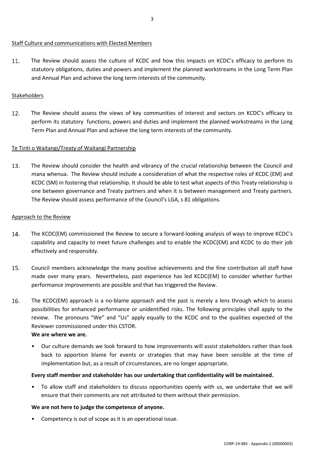### Staff Culture and communications with Elected Members

11. The Review should assess the culture of KCDC and how this impacts on KCDC's efficacy to perform its statutory obligations, duties and powers and implement the planned workstreams in the Long Term Plan and Annual Plan and achieve the long term interests of the community.

## Stakeholders

 $12.$ The Review should assess the views of key communities of interest and sectors on KCDC's efficacy to perform its statutory functions, powers and duties and implement the planned workstreams in the Long Term Plan and Annual Plan and achieve the long term interests of the community.

#### Te Tiriti o Waitangi/Treaty of Waitangi Partnership

13. The Review should consider the health and vibrancy of the crucial relationship between the Council and mana whenua. The Review should include a consideration of what the respective roles of KCDC (EM) and KCDC (SM) in fostering that relationship. It should be able to test what aspects of this Treaty relationship is one between governance and Treaty partners and when it is between management and Treaty partners. The Review should assess performance of the Council's LGA, s 81 obligations.

#### Approach to the Review

- $14.$ The KCDC(EM) commissioned the Review to secure a forward-looking analysis of ways to improve KCDC's capability and capacity to meet future challenges and to enable the KCDC(EM) and KCDC to do their job effectively and responsibly.
- 15. Council members acknowledge the many positive achievements and the fine contribution all staff have made over many years. Nevertheless, past experience has led KCDC(EM) to consider whether further performance improvements are possible and that has triggered the Review.
- 16. The KCDC(EM) approach is a no-blame approach and the past is merely a lens through which to assess possibilities for enhanced performance or unidentified risks. The following principles shall apply to the review. The pronouns "We" and "Us" apply equally to the KCDC and to the qualities expected of the Reviewer commissioned under this CSTOR.

## **We are where we are.**

• Our culture demands we look forward to how improvements will assist stakeholders rather than look back to apportion blame for events or strategies that may have been sensible at the time of implementation but, as a result of circumstances, are no longer appropriate.

## **Every staff member and stakeholder has our undertaking that confidentiality will be maintained.**

• To allow staff and stakeholders to discuss opportunities openly with us, we undertake that we will ensure that their comments are not attributed to them without their permission.

## **We are not here to judge the competence of anyone.**

• Competency is out of scope as it is an operational issue.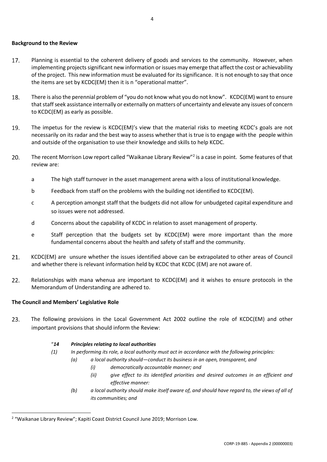#### <span id="page-5-0"></span>**Background to the Review**

- 17. Planning is essential to the coherent delivery of goods and services to the community. However, when implementing projects significant new information or issues may emerge that affect the cost or achievability of the project. This new information must be evaluated for its significance. It is not enough to say that once the items are set by KCDC(EM) then it is n "operational matter".
- 18. There is also the perennial problem of "you do not know what you do not know". KCDC(EM) want to ensure that staff seek assistance internally or externally on matters of uncertainty and elevate any issues of concern to KCDC(EM) as early as possible.
- 19. The impetus for the review is KCDC(EM)'s view that the material risks to meeting KCDC's goals are not necessarily on its radar and the best way to assess whether that is true is to engage with the people within and outside of the organisation to use their knowledge and skills to help KCDC.
- $20.$ The recent Morrison Low report called "Waikanae Library Review"<sup>2</sup> is a case in point. Some features of that review are:
	- a The high staff turnover in the asset management arena with a loss of institutional knowledge.
	- b Feedback from staff on the problems with the building not identified to KCDC(EM).
	- c A perception amongst staff that the budgets did not allow for unbudgeted capital expenditure and so issues were not addressed.
	- d Concerns about the capability of KCDC in relation to asset management of property.
	- e Staff perception that the budgets set by KCDC(EM) were more important than the more fundamental concerns about the health and safety of staff and the community.
- $21.$ KCDC(EM) are unsure whether the issues identified above can be extrapolated to other areas of Council and whether there is relevant information held by KCDC that KCDC (EM) are not aware of.
- $22.$ Relationships with mana whenua are important to KCDC(EM) and it wishes to ensure protocols in the Memorandum of Understanding are adhered to.

## <span id="page-5-1"></span>**The Council and Members' Legislative Role**

1

23. The following provisions in the Local Government Act 2002 outline the role of KCDC(EM) and other important provisions that should inform the Review:

## "*14 Principles relating to local authorities*

- *(1) In performing its role, a local authority must act in accordance with the following principles:*
	- *(a) a local authority should—conduct its business in an open, transparent, and* 
		- *(i) democratically accountable manner; and*
		- *(ii) give effect to its identified priorities and desired outcomes in an efficient and effective manner:*
	- *(b) a local authority should make itself aware of, and should have regard to, the views of all of its communities; and*

<sup>&</sup>lt;sup>2</sup> "Waikanae Library Review"; Kapiti Coast District Council June 2019; Morrison Low.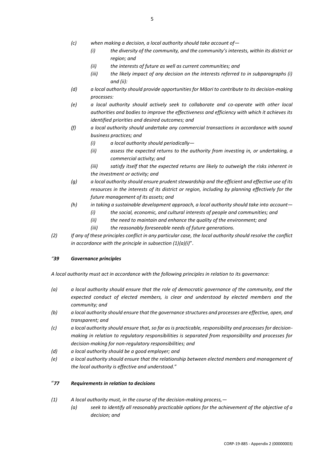- *(c) when making a decision, a local authority should take account of—*
	- *(i) the diversity of the community, and the community's interests, within its district or region; and*
	- *(ii) the interests of future as well as current communities; and*
	- *(iii) the likely impact of any decision on the interests referred to in subparagraphs (i) and (ii):*
- *(d) a local authority should provide opportunities for Māori to contribute to its decision-making processes:*
- *(e) a local authority should actively seek to collaborate and co-operate with other local authorities and bodies to improve the effectiveness and efficiency with which it achieves its identified priorities and desired outcomes; and*
- *(f) a local authority should undertake any commercial transactions in accordance with sound business practices; and*
	- *(i) a local authority should periodically—*
	- *(ii) assess the expected returns to the authority from investing in, or undertaking, a commercial activity; and*
	- *(iii) satisfy itself that the expected returns are likely to outweigh the risks inherent in the investment or activity; and*
- *(g) a local authority should ensure prudent stewardship and the efficient and effective use of its resources in the interests of its district or region, including by planning effectively for the future management of its assets; and*
- *(h) in taking a sustainable development approach, a local authority should take into account—*
	- *(i) the social, economic, and cultural interests of people and communities; and*
	- *(ii) the need to maintain and enhance the quality of the environment; and*
	- *(iii) the reasonably foreseeable needs of future generations.*
- *(2) If any of these principles conflict in any particular case, the local authority should resolve the conflict in accordance with the principle in subsection (1)(a)(i)*".

#### *"39 Governance principles*

*A local authority must act in accordance with the following principles in relation to its governance:*

- *(a) a local authority should ensure that the role of democratic governance of the community, and the expected conduct of elected members, is clear and understood by elected members and the community; and*
- *(b) a local authority should ensure that the governance structures and processes are effective, open, and transparent; and*
- *(c) a local authority should ensure that, so far as is practicable, responsibility and processes for decisionmaking in relation to regulatory responsibilities is separated from responsibility and processes for decision-making for non-regulatory responsibilities; and*
- *(d) a local authority should be a good employer; and*
- *(e) a local authority should ensure that the relationship between elected members and management of the local authority is effective and understood.*"

#### "*77 Requirements in relation to decisions*

- *(1) A local authority must, in the course of the decision-making process,—*
	- *(a) seek to identify all reasonably practicable options for the achievement of the objective of a decision; and*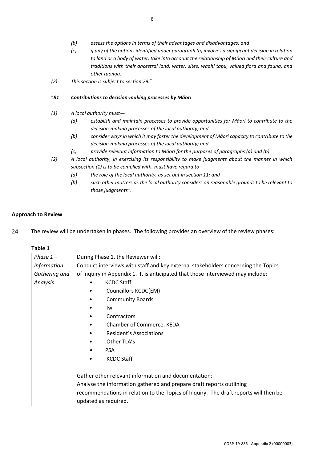- *(b) assess the options in terms of their advantages and disadvantages; and*
- *(c) if any of the options identified under paragraph (a) involves a significant decision in relation to land or a body of water, take into account the relationship of Māori and their culture and traditions with their ancestral land, water, sites, waahi tapu, valued flora and fauna, and other taonga.*
- *(2) This section is subject to section 79.*"

#### "*81 Contributions to decision-making processes by Māori*

- *(1) A local authority must—*
	- *(a) establish and maintain processes to provide opportunities for Māori to contribute to the decision-making processes of the local authority; and*
	- *(b) consider ways in which it may foster the development of Māori capacity to contribute to the decision-making processes of the local authority; and*
	- *(c) provide relevant information to Māori for the purposes of paragraphs (a) and (b).*
- *(2) A local authority, in exercising its responsibility to make judgments about the manner in which subsection (1) is to be complied with, must have regard to—*
	- *(a) the role of the local authority, as set out in section 11; and*
	- *(b) such other matters as the local authority considers on reasonable grounds to be relevant to those judgments"*.

#### <span id="page-7-0"></span>**Approach to Review**

24. The review will be undertaken in phases. The following provides an overview of the review phases:

#### **Table 1**

| Phase $1-$         | During Phase 1, the Reviewer will:                                                   |
|--------------------|--------------------------------------------------------------------------------------|
| <b>Information</b> | Conduct interviews with staff and key external stakeholders concerning the Topics    |
| Gathering and      | of Inquiry in Appendix 1. It is anticipated that those interviewed may include:      |
| Analysis           | <b>KCDC Staff</b>                                                                    |
|                    | Councillors KCDC(EM)                                                                 |
|                    | <b>Community Boards</b>                                                              |
|                    | Iwi                                                                                  |
|                    | Contractors                                                                          |
|                    | Chamber of Commerce, KEDA                                                            |
|                    | <b>Resident's Associations</b>                                                       |
|                    | Other TLA's                                                                          |
|                    | <b>PSA</b>                                                                           |
|                    | <b>KCDC Staff</b>                                                                    |
|                    |                                                                                      |
|                    | Gather other relevant information and documentation;                                 |
|                    | Analyse the information gathered and prepare draft reports outlining                 |
|                    | recommendations in relation to the Topics of Inquiry. The draft reports will then be |
|                    | updated as required.                                                                 |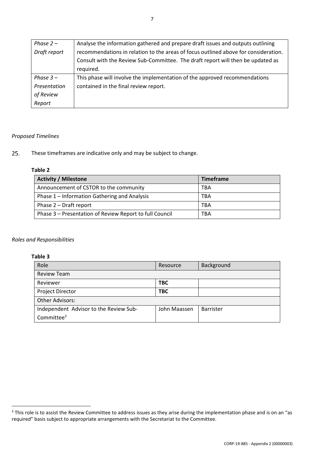| Phase $2-$   | Analyse the information gathered and prepare draft issues and outputs outlining     |
|--------------|-------------------------------------------------------------------------------------|
| Draft report | recommendations in relation to the areas of focus outlined above for consideration. |
|              | Consult with the Review Sub-Committee. The draft report will then be updated as     |
|              | required.                                                                           |
| Phase $3-$   | This phase will involve the implementation of the approved recommendations          |
| Presentation | contained in the final review report.                                               |
| of Review    |                                                                                     |
| Report       |                                                                                     |

## *Proposed Timelines*

 $25.$ These timeframes are indicative only and may be subject to change.

## **Table 2**

| <b>Activity / Milestone</b>                             | <b>Timeframe</b> |
|---------------------------------------------------------|------------------|
| Announcement of CSTOR to the community                  | TBA              |
| Phase 1 – Information Gathering and Analysis            | <b>TBA</b>       |
| Phase 2 - Draft report                                  | <b>TBA</b>       |
| Phase 3 - Presentation of Review Report to full Council | TBA              |

## *Roles and Responsibilities*

## **Table 3**

**.** 

| Role                                   | Resource     | Background |
|----------------------------------------|--------------|------------|
| <b>Review Team</b>                     |              |            |
| Reviewer                               | <b>TBC</b>   |            |
| Project Director                       | <b>TBC</b>   |            |
| Other Advisors:                        |              |            |
| Independent Advisor to the Review Sub- | John Maassen | Barrister  |
| Committee <sup>3</sup>                 |              |            |

 $3$  This role is to assist the Review Committee to address issues as they arise during the implementation phase and is on an "as required" basis subject to appropriate arrangements with the Secretariat to the Committee.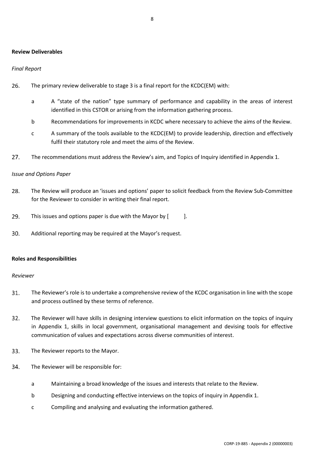#### <span id="page-9-0"></span>**Review Deliverables**

### *Final Report*

- 26. The primary review deliverable to stage 3 is a final report for the KCDC(EM) with:
	- a A "state of the nation" type summary of performance and capability in the areas of interest identified in this CSTOR or arising from the information gathering process.
	- b Recommendations for improvements in KCDC where necessary to achieve the aims of the Review.
	- c A summary of the tools available to the KCDC(EM) to provide leadership, direction and effectively fulfil their statutory role and meet the aims of the Review.
- $27.$ The recommendations must address the Review's aim, and Topics of Inquiry identified in Appendix 1.

#### *Issue and Options Paper*

- 28. The Review will produce an 'issues and options' paper to solicit feedback from the Review Sub-Committee for the Reviewer to consider in writing their final report.
- 29. This issues and options paper is due with the Mayor by [ ].
- 30. Additional reporting may be required at the Mayor's request.

#### <span id="page-9-1"></span>**Roles and Responsibilities**

#### *Reviewer*

- 31. The Reviewer's role is to undertake a comprehensive review of the KCDC organisation in line with the scope and process outlined by these terms of reference.
- $32.$ The Reviewer will have skills in designing interview questions to elicit information on the topics of inquiry in Appendix 1, skills in local government, organisational management and devising tools for effective communication of values and expectations across diverse communities of interest.
- 33. The Reviewer reports to the Mayor.
- 34. The Reviewer will be responsible for:
	- a Maintaining a broad knowledge of the issues and interests that relate to the Review.
	- b Designing and conducting effective interviews on the topics of inquiry in Appendix 1.
	- c Compiling and analysing and evaluating the information gathered.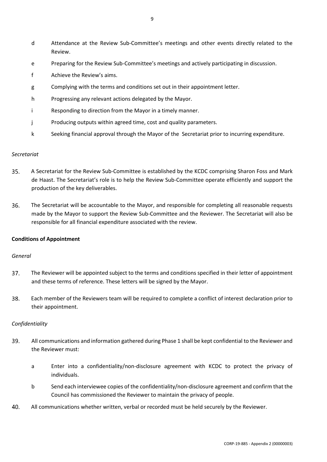- d Attendance at the Review Sub-Committee's meetings and other events directly related to the Review.
- e Preparing for the Review Sub-Committee's meetings and actively participating in discussion.
- f Achieve the Review's aims.
- g Complying with the terms and conditions set out in their appointment letter.
- h Progressing any relevant actions delegated by the Mayor.
- i Responding to direction from the Mayor in a timely manner.
- j Producing outputs within agreed time, cost and quality parameters.
- k Seeking financial approval through the Mayor of the Secretariat prior to incurring expenditure.

#### *Secretariat*

- $35.$ A Secretariat for the Review Sub-Committee is established by the KCDC comprising Sharon Foss and Mark de Haast. The Secretariat's role is to help the Review Sub-Committee operate efficiently and support the production of the key deliverables.
- 36. The Secretariat will be accountable to the Mayor, and responsible for completing all reasonable requests made by the Mayor to support the Review Sub-Committee and the Reviewer. The Secretariat will also be responsible for all financial expenditure associated with the review.

## <span id="page-10-0"></span>**Conditions of Appointment**

## *General*

- $37.$ The Reviewer will be appointed subject to the terms and conditions specified in their letter of appointment and these terms of reference. These letters will be signed by the Mayor.
- 38. Each member of the Reviewers team will be required to complete a conflict of interest declaration prior to their appointment.

## *Confidentiality*

- 39. All communications and information gathered during Phase 1 shall be kept confidential to the Reviewer and the Reviewer must:
	- a Enter into a confidentiality/non-disclosure agreement with KCDC to protect the privacy of individuals.
	- b Send each interviewee copies of the confidentiality/non-disclosure agreement and confirm that the Council has commissioned the Reviewer to maintain the privacy of people.
- 40. All communications whether written, verbal or recorded must be held securely by the Reviewer.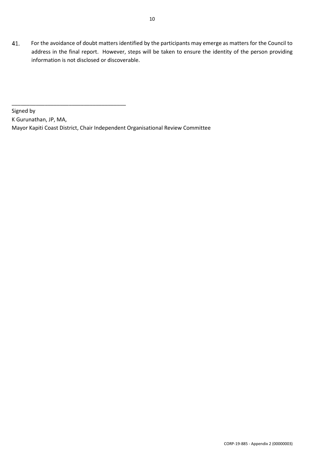Signed by K Gurunathan, JP, MA, Mayor Kapiti Coast District, Chair Independent Organisational Review Committee

\_\_\_\_\_\_\_\_\_\_\_\_\_\_\_\_\_\_\_\_\_\_\_\_\_\_\_\_\_\_\_\_\_\_\_\_\_\_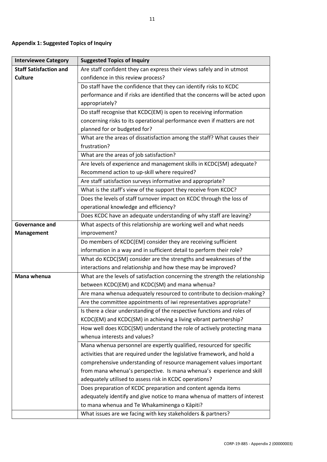# <span id="page-12-0"></span>**Appendix 1: Suggested Topics of Inquiry**

| <b>Interviewee Category</b>   | <b>Suggested Topics of Inquiry</b>                                           |
|-------------------------------|------------------------------------------------------------------------------|
| <b>Staff Satisfaction and</b> | Are staff confident they can express their views safely and in utmost        |
| <b>Culture</b>                | confidence in this review process?                                           |
|                               | Do staff have the confidence that they can identify risks to KCDC            |
|                               | performance and if risks are identified that the concerns will be acted upon |
|                               | appropriately?                                                               |
|                               | Do staff recognise that KCDC(EM) is open to receiving information            |
|                               | concerning risks to its operational performance even if matters are not      |
|                               | planned for or budgeted for?                                                 |
|                               | What are the areas of dissatisfaction among the staff? What causes their     |
|                               | frustration?                                                                 |
|                               | What are the areas of job satisfaction?                                      |
|                               | Are levels of experience and management skills in KCDC(SM) adequate?         |
|                               | Recommend action to up-skill where required?                                 |
|                               | Are staff satisfaction surveys informative and appropriate?                  |
|                               | What is the staff's view of the support they receive from KCDC?              |
|                               | Does the levels of staff turnover impact on KCDC through the loss of         |
|                               | operational knowledge and efficiency?                                        |
|                               | Does KCDC have an adequate understanding of why staff are leaving?           |
| <b>Governance and</b>         | What aspects of this relationship are working well and what needs            |
| <b>Management</b>             | improvement?                                                                 |
|                               | Do members of KCDC(EM) consider they are receiving sufficient                |
|                               | information in a way and in sufficient detail to perform their role?         |
|                               | What do KCDC(SM) consider are the strengths and weaknesses of the            |
|                               | interactions and relationship and how these may be improved?                 |
| Mana whenua                   | What are the levels of satisfaction concerning the strength the relationship |
|                               | between KCDC(EM) and KCDC(SM) and mana whenua?                               |
|                               | Are mana whenua adequately resourced to contribute to decision-making?       |
|                               | Are the committee appointments of iwi representatives appropriate?           |
|                               | Is there a clear understanding of the respective functions and roles of      |
|                               | KCDC(EM) and KCDC(SM) in achieving a living vibrant partnership?             |
|                               | How well does KCDC(SM) understand the role of actively protecting mana       |
|                               | whenua interests and values?                                                 |
|                               | Mana whenua personnel are expertly qualified, resourced for specific         |
|                               | activities that are required under the legislative framework, and hold a     |
|                               | comprehensive understanding of resource management values important          |
|                               | from mana whenua's perspective. Is mana whenua's experience and skill        |
|                               | adequately utilised to assess risk in KCDC operations?                       |
|                               | Does preparation of KCDC preparation and content agenda items                |
|                               | adequately identify and give notice to mana whenua of matters of interest    |
|                               | to mana whenua and Te Whakaminenga o Kāpiti?                                 |
|                               | What issues are we facing with key stakeholders & partners?                  |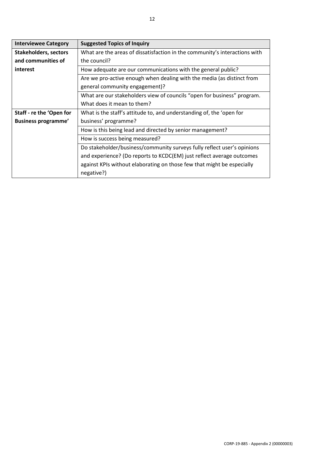| <b>Interviewee Category</b>  | <b>Suggested Topics of Inquiry</b>                                         |
|------------------------------|----------------------------------------------------------------------------|
| <b>Stakeholders, sectors</b> | What are the areas of dissatisfaction in the community's interactions with |
| and communities of           | the council?                                                               |
| interest                     | How adequate are our communications with the general public?               |
|                              | Are we pro-active enough when dealing with the media (as distinct from     |
|                              | general community engagement)?                                             |
|                              | What are our stakeholders view of councils "open for business" program.    |
|                              | What does it mean to them?                                                 |
| Staff - re the 'Open for     | What is the staff's attitude to, and understanding of, the 'open for       |
| <b>Business programme'</b>   | business' programme?                                                       |
|                              | How is this being lead and directed by senior management?                  |
|                              | How is success being measured?                                             |
|                              | Do stakeholder/business/community surveys fully reflect user's opinions    |
|                              | and experience? (Do reports to KCDC(EM) just reflect average outcomes      |
|                              | against KPIs without elaborating on those few that might be especially     |
|                              | negative?)                                                                 |